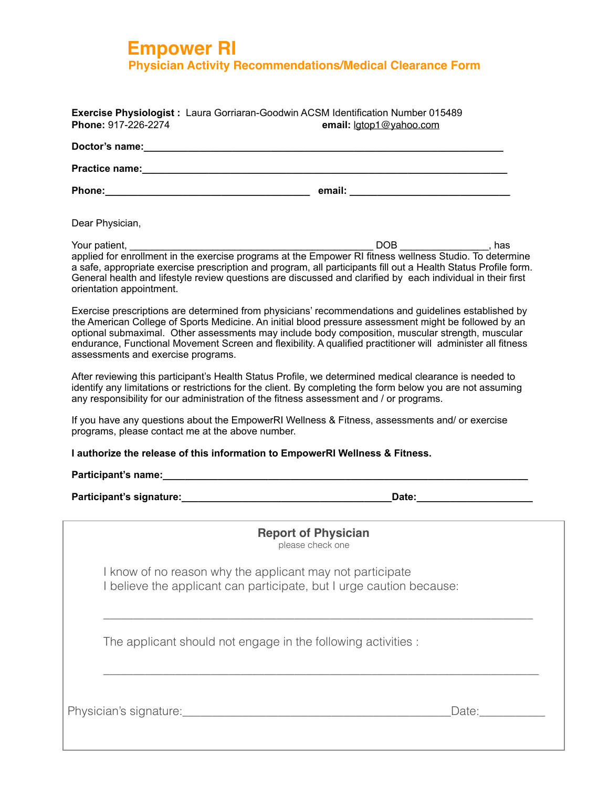## **Empower RI Physician Activity Recommendations/Medical Clearance Form**

| <b>Phone:</b>         | email:                                                                            |  |  |  |
|-----------------------|-----------------------------------------------------------------------------------|--|--|--|
| <b>Practice name:</b> |                                                                                   |  |  |  |
| Doctor's name:        |                                                                                   |  |  |  |
| Phone: 917-226-2274   | email: lgtop1@yahoo.com                                                           |  |  |  |
|                       | Exercise Physiologist : Laura Gorriaran-Goodwin ACSM Identification Number 015489 |  |  |  |

Dear Physician,

Your patient, \_\_\_\_\_\_\_\_\_\_\_\_\_\_\_\_\_\_\_\_\_\_\_\_\_\_\_\_\_\_\_\_\_\_\_\_\_\_\_\_\_\_\_\_ DOB \_\_\_\_\_\_\_\_\_\_\_\_\_\_\_\_, has applied for enrollment in the exercise programs at the Empower RI fitness wellness Studio. To determine a safe, appropriate exercise prescription and program, all participants fill out a Health Status Profile form. General health and lifestyle review questions are discussed and clarified by each individual in their first orientation appointment.

Exercise prescriptions are determined from physicians' recommendations and guidelines established by the American College of Sports Medicine. An initial blood pressure assessment might be followed by an optional submaximal. Other assessments may include body composition, muscular strength, muscular endurance, Functional Movement Screen and flexibility. A qualified practitioner will administer all fitness assessments and exercise programs.

After reviewing this participant's Health Status Profile, we determined medical clearance is needed to identify any limitations or restrictions for the client. By completing the form below you are not assuming any responsibility for our administration of the fitness assessment and / or programs.

If you have any questions about the EmpowerRI Wellness & Fitness, assessments and/ or exercise programs, please contact me at the above number.

**I authorize the release of this information to EmpowerRI Wellness & Fitness.** 

**Participant's name:\_\_\_\_\_\_\_\_\_\_\_\_\_\_\_\_\_\_\_\_\_\_\_\_\_\_\_\_\_\_\_\_\_\_\_\_\_\_\_\_\_\_\_\_\_\_\_\_\_\_\_\_\_\_\_\_\_\_\_\_\_\_\_\_\_\_** 

**Participant's signature:\_\_\_\_\_\_\_\_\_\_\_\_\_\_\_\_\_\_\_\_\_\_\_\_\_\_\_\_\_\_\_\_\_\_\_\_\_\_Date:\_\_\_\_\_\_\_\_\_\_\_\_\_\_\_\_\_\_\_\_\_**

| <b>Report of Physician</b><br>please check one                                                                                    |
|-----------------------------------------------------------------------------------------------------------------------------------|
| I know of no reason why the applicant may not participate<br>I believe the applicant can participate, but I urge caution because: |
| The applicant should not engage in the following activities :                                                                     |
| Physician's signature:<br>Date:                                                                                                   |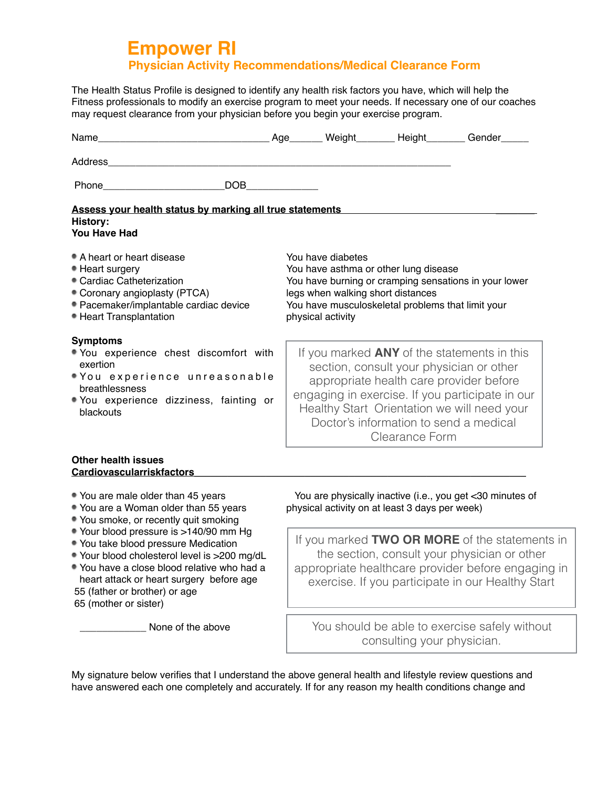## **Empower RI Physician Activity Recommendations/Medical Clearance Form**

The Health Status Profile is designed to identify any health risk factors you have, which will help the Fitness professionals to modify an exercise program to meet your needs. If necessary one of our coaches may request clearance from your physician before you begin your exercise program.

| <b>Phone Contract Contract Contract Contract Contract Contract Contract Contract Contract Contract Contract Contract Contract Contract Contract Contract Contract Contract Contract Contract Contract Contract Contract Contra</b> | DOB <b>DOB</b> |                                                                                                                                                                                                                                    |                                                                 |                                                                                                                                                                                                                                             |  |
|------------------------------------------------------------------------------------------------------------------------------------------------------------------------------------------------------------------------------------|----------------|------------------------------------------------------------------------------------------------------------------------------------------------------------------------------------------------------------------------------------|-----------------------------------------------------------------|---------------------------------------------------------------------------------------------------------------------------------------------------------------------------------------------------------------------------------------------|--|
| Assess your health status by marking all true statements <b>Exercise Statements</b> Assessment of the Assessment Control<br><b>History:</b><br><b>You Have Had</b>                                                                 |                |                                                                                                                                                                                                                                    |                                                                 |                                                                                                                                                                                                                                             |  |
| • A heart or heart disease<br>• Heart surgery<br>• Cardiac Catheterization<br>• Coronary angioplasty (PTCA)<br>· Pacemaker/implantable cardiac device<br>• Heart Transplantation                                                   |                | You have diabetes<br>You have asthma or other lung disease<br>You have burning or cramping sensations in your lower<br>legs when walking short distances<br>You have musculoskeletal problems that limit your<br>physical activity |                                                                 |                                                                                                                                                                                                                                             |  |
| <b>Symptoms</b><br>• You experience chest discomfort with<br>exertion<br>"You experience unreasonable<br>breathlessness<br>. You experience dizziness, fainting or<br>blackouts                                                    |                |                                                                                                                                                                                                                                    | Doctor's information to send a medical<br><b>Clearance Form</b> | If you marked <b>ANY</b> of the statements in this<br>section, consult your physician or other<br>appropriate health care provider before<br>engaging in exercise. If you participate in our<br>Healthy Start Orientation we will need your |  |
| <b>Other health issues</b><br><b>Cardiovascularriskfactors</b>                                                                                                                                                                     |                |                                                                                                                                                                                                                                    |                                                                 |                                                                                                                                                                                                                                             |  |
| • You are male older than 45 years                                                                                                                                                                                                 |                |                                                                                                                                                                                                                                    |                                                                 | You are physically inactive (i.e., you get <30 minutes of                                                                                                                                                                                   |  |

- 
- You smoke, or recently quit smoking
- Your blood pressure is >140/90 mm Hg
- You take blood pressure Medication
- Your blood cholesterol level is >200 mg/dL
- You have a close blood relative who had a heart attack or heart surgery before age 55 (father or brother) or age
- 65 (mother or sister)

None of the above

• You are a Woman older than 55 years physical activity on at least 3 days per week)

If you marked **TWO OR MORE** of the statements in the section, consult your physician or other appropriate healthcare provider before engaging in exercise. If you participate in our Healthy Start

You should be able to exercise safely without consulting your physician.

My signature below verifies that I understand the above general health and lifestyle review questions and have answered each one completely and accurately. If for any reason my health conditions change and